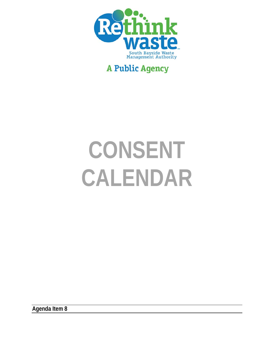

# **A Public Agency**

# **CONSENT CALENDAR**

**Agenda Item 8**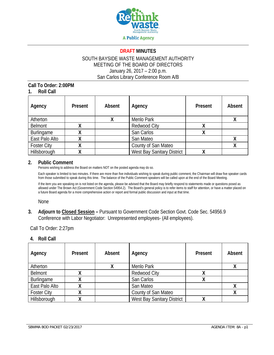

#### **DRAFT MINUTES**

#### SOUTH BAYSIDE WASTE MANAGEMENT AUTHORITY MEETING OF THE BOARD OF DIRECTORS January 26, 2017 – 2:00 p.m. San Carlos Library Conference Room A/B

#### **Call To Order: 2:00PM 1. Roll Call**

| Agency             | Present | Absent | Agency                     | Present | Absent |
|--------------------|---------|--------|----------------------------|---------|--------|
| Atherton           |         |        | Menlo Park                 |         |        |
| <b>Belmont</b>     |         |        | <b>Redwood City</b>        |         |        |
| Burlingame         |         |        | San Carlos                 |         |        |
| East Palo Alto     |         |        | San Mateo                  |         |        |
| <b>Foster City</b> |         |        | County of San Mateo        |         |        |
| Hillsborough       |         |        | West Bay Sanitary District |         |        |

#### **2. Public Comment**

Persons wishing to address the Board on matters NOT on the posted agenda may do so.

Each speaker is limited to two minutes. If there are more than five individuals wishing to speak during public comment, the Chairman will draw five speaker cards from those submitted to speak during this time. The balance of the Public Comment speakers will be called upon at the end of the Board Meeting.

If the item you are speaking on is not listed on the agenda, please be advised that the Board may briefly respond to statements made or questions posed as allowed under The Brown Act (Government Code Section 54954.2). The Board's general policy is to refer items to staff for attention, or have a matter placed on a future Board agenda for a more comprehensive action or report and formal public discussion and input at that time.

None

**3. Adjourn to Closed Session –** Pursuant to Government Code Section Govt. Code Sec. 54956.9 Conference with Labor Negotiator: Unrepresented employees- (All employees).

Call To Order: 2:27pm

#### **4. Roll Call**

| Agency             | Present | Absent | Agency                     | Present | Absent |
|--------------------|---------|--------|----------------------------|---------|--------|
| Atherton           |         | Χ      | Menlo Park                 |         |        |
| <b>Belmont</b>     |         |        | <b>Redwood City</b>        |         |        |
| Burlingame         |         |        | San Carlos                 |         |        |
| East Palo Alto     |         |        | San Mateo                  |         |        |
| <b>Foster City</b> |         |        | County of San Mateo        |         |        |
| Hillsborough       |         |        | West Bay Sanitary District |         |        |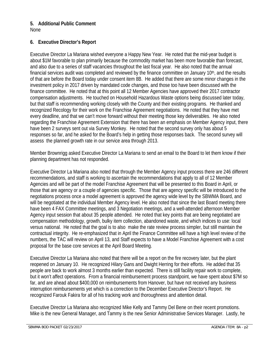# **5. Additional Public Comment**

None

## **6. Executive Director's Report**

Executive Director La Mariana wished everyone a Happy New Year. He noted that the mid-year budget is about \$1M favorable to plan primarily because the commodity market has been more favorable than forecast, and also due to a series of staff vacancies throughout the last fiscal year. He also noted that the annual financial services audit was completed and reviewed by the finance committee on January  $10<sup>th</sup>$ , and the results of that are before the Board today under consent item 8B. He added that there are some minor changes in the investment policy in 2017 driven by mandated code changes, and those too have been discussed with the finance committee. He noted that at this point all 12 Member Agencies have approved their 2017 contractor compensation adjustments. He touched on Household Hazardous Waste options being discussed later today, but that staff is recommending working closely with the County and their existing programs. He thanked and recognized Recology for their work on the Franchise Agreement negotiations. He noted that they have met every deadline, and that we can't move forward without their meeting those key deliverables. He also noted regarding the Franchise Agreement Extension that there has been an emphasis on Member Agency input, there have been 2 surveys sent out via Survey Monkey. He noted that the second survey only has about 5 responses so far, and he asked for the Board's help in getting those responses back. The second survey will assess the planned growth rate in our service area through 2013.

Member Brownrigg asked Executive Director La Mariana to send an email to the Board to let them know if their planning department has not responded.

Executive Director La Mariana also noted that through the Member Agency input process there are 246 different recommendations, and staff is working to ascertain the recommendations that apply to all of 12 Member Agencies and will be part of the model Franchise Agreement that will be presented to this Board in April, or those that are agency or a couple of agencies specific. Those that are agency specific will be introduced to the negotiations process once a model agreement is approved the agency wide level by the SBWMA Board, and will be negotiated at the individual Member Agency level. He also noted that since the last Board meeting there have been 4 FAX Committee meetings, and 3 Negotiation meetings, and a well-attended afternoon Member Agency input session that about 35 people attended. He noted that key points that are being negotiated are compensation methodology, growth, bulky item collection, abandoned waste, and which indices to use: local versus national. He noted that the goal is to also make the rate review process simpler, but still maintain the contractual integrity. He re-emphasized that in April the Finance Committee will have a high level review of the numbers, the TAC will review on April 13, and Staff expects to have a Model Franchise Agreement with a cost proposal for the base core services at the April Board Meeting.

Executive Director La Mariana also noted that there will be a report on the fire recovery later, but the plant reopened on January 10. He recognized Hilary Gans and Dwight Herring for their efforts. He added that 35 people are back to work almost 3 months earlier than expected. There is still facility repair work to complete, but it won't affect operations. From a financial reimbursement process standpoint, we have spent about \$7M so far, and are ahead about \$400,000 on reimbursements from Hanover, but have not received any business interruption reimbursements yet which is a correction to the December Executive Director's Report. He recognized Farouk Fakira for all of his tracking work and thoroughness and attention detail.

Executive Director La Mariana also recognized Mike Kelly and Tammy Del Bene on their recent promotions. Mike is the new General Manager, and Tammy is the new Senior Administrative Services Manager. Lastly, he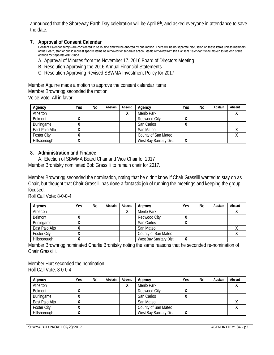announced that the Shoreway Earth Day celebration will be April 8<sup>th</sup>, and asked everyone in attendance to save the date.

#### **7. Approval of Consent Calendar**

Consent Calendar item(s) are considered to be routine and will be enacted by one motion. There will be no separate discussion on these items unless members of the Board, staff or public request specific items be removed for separate action*. Items removed from the Consent Calendar will be moved to the end of the agenda for separate discussion.* 

A. Approval of Minutes from the November 17, 2016 Board of Directors Meeting

- B. Resolution Approving the 2016 Annual Financial Statements
- C. Resolution Approving Revised SBWMA Investment Policy for 2017

Member Aguirre made a motion to approve the consent calendar items Member Brownrigg seconded the motion Voice Vote: All in favor

| Agency             | Yes | No | Abstain | Absent | Agency                  | Yes          | No | Abstain | Absent |
|--------------------|-----|----|---------|--------|-------------------------|--------------|----|---------|--------|
| Atherton           |     |    |         |        | Menlo Park              |              |    |         |        |
| Belmont            |     |    |         |        | <b>Redwood City</b>     | $\mathbf{v}$ |    |         |        |
| Burlingame         |     |    |         |        | San Carlos              | $\mathbf{v}$ |    |         |        |
| East Palo Alto     |     |    |         |        | San Mateo               |              |    |         |        |
| <b>Foster City</b> |     |    |         |        | County of San Mateo     |              |    |         |        |
| Hillsborough       |     |    |         |        | West Bay Sanitary Dist. |              |    |         |        |

#### **8. Administration and Finance**

A. Election of SBWMA Board Chair and Vice Chair for 2017 Member Bronitsky nominated Bob Grassilli to remain chair for 2017.

Member Brownrigg seconded the nomination, noting that he didn't know if Chair Grassilli wanted to stay on as Chair, but thought that Chair Grassilli has done a fantastic job of running the meetings and keeping the group focused.

Roll Call Vote: 8-0-0-4

| Agency             | Yes          | No | Abstain | Absent | Agency                  | Yes | No | Abstain | Absent |
|--------------------|--------------|----|---------|--------|-------------------------|-----|----|---------|--------|
| Atherton           |              |    |         |        | Menlo Park              |     |    |         |        |
| Belmont            | "            |    |         |        | Redwood City            | Λ   |    |         |        |
| Burlingame         | $\mathbf{v}$ |    |         |        | San Carlos              | Λ   |    |         |        |
| East Palo Alto     |              |    |         |        | San Mateo               |     |    |         |        |
| <b>Foster City</b> |              |    |         |        | County of San Mateo     |     |    |         |        |
| Hillsborough       |              |    |         |        | West Bay Sanitary Dist. | Λ   |    |         |        |

Member Brownrigg nominated Charlie Bronitsky noting the same reasons that he seconded re-nomination of Chair Grassilli.

Member Hurt seconded the nomination. Roll Call Vote: 8-0-0-4

| Agency             | Yes          | No | Abstain | Absent | Agency                  | Yes          | No | Abstain | Absent |
|--------------------|--------------|----|---------|--------|-------------------------|--------------|----|---------|--------|
| Atherton           |              |    |         |        | Menlo Park              |              |    |         |        |
| <b>Belmont</b>     | $\cdots$     |    |         |        | Redwood City            | $\cdots$     |    |         |        |
| Burlingame         | "            |    |         |        | San Carlos              | $\mathbf{v}$ |    |         |        |
| East Palo Alto     | $\mathbf{v}$ |    |         |        | San Mateo               |              |    |         |        |
| <b>Foster City</b> |              |    |         |        | County of San Mateo     |              |    |         |        |
| Hillsborough       |              |    |         |        | West Bay Sanitary Dist. | Λ            |    |         |        |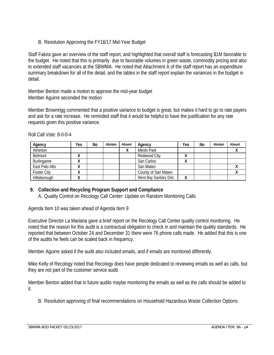B. Resolution Approving the FY16/17 Mid-Year Budget

Staff Fakira gave an overview of the staff report, and highlighted that overall staff is forecasting \$1M favorable to the budget. He noted that this is primarily due to favorable volumes in green waste, commodity pricing and also to extended staff vacancies at the SBWMA. He noted that Attachment A of the staff report has an expenditure summary breakdown for all of the detail, and the tables in the staff report explain the variances in the budget in detail.

Member Benton made a motion to approve the mid-year budget Member Aguirre seconded the motion

Member Brownrigg commented that a positive variance to budget is great, but makes it hard to go to rate payers and ask for a rate increase. He reminded staff that it would be helpful to have the justification for any rate requests given this positive variance.

| Agency             | Yes | No | Abstain | Absent | Agency                  | Yes | No | Abstain | Absent |
|--------------------|-----|----|---------|--------|-------------------------|-----|----|---------|--------|
| Atherton           |     |    |         | Λ      | Menlo Park              |     |    |         |        |
| Belmont            |     |    |         |        | Redwood City            | "   |    |         |        |
| Burlingame         |     |    |         |        | San Carlos              | ́   |    |         |        |
| East Palo Alto     |     |    |         |        | San Mateo               |     |    |         |        |
| <b>Foster City</b> |     |    |         |        | County of San Mateo     |     |    |         |        |
| Hillsborough       |     |    |         |        | West Bay Sanitary Dist. |     |    |         |        |

Roll Call Vote: 8-0-0-4

## **9. Collection and Recycling Program Support and Compliance**

A. Quality Control on Recology Call Center: Update on Random Monitoring Calls

Agenda Item 10 was taken ahead of Agenda Item 9

Executive Director La Mariana gave a brief report on the Recology Call Center quality control monitoring. He noted that the reason for this audit is a contractual obligation to check in and maintain the quality standards. He reported that between October 24 and December 31 there were 76 phone calls made. He added that this is one of the audits he feels can be scaled back in frequency.

Member Aguirre asked if the audit also included emails, and if emails are monitored differently.

Mike Kelly of Recology noted that Recology does have people dedicated to reviewing emails as well as calls, but they are not part of the customer service audit.

Member Benton added that in future audits maybe monitoring the emails as well as the calls should be added to it.

B. Resolution approving of final recommendations on Household Hazardous Waste Collection Options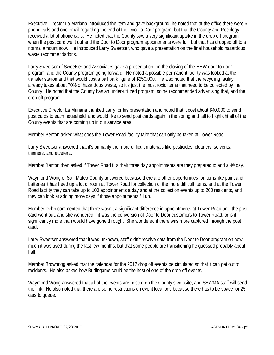Executive Director La Mariana introduced the item and gave background, he noted that at the office there were 6 phone calls and one email regarding the end of the Door to Door program, but that the County and Recology received a lot of phone calls. He noted that the County saw a very significant uptake in the drop off program when the post card went out and the Door to Door program appointments were full, but that has dropped off to a normal amount now. He introduced Larry Sweetser, who gave a presentation on the final household hazardous waste recommendations.

Larry Sweetser of Sweetser and Associates gave a presentation, on the closing of the HHW door to door program, and the County program going forward. He noted a possible permanent facility was looked at the transfer station and that would cost a ball park figure of \$250,000. He also noted that the recycling facility already takes about 70% of hazardous waste, so it's just the most toxic items that need to be collected by the County. He noted that the County has an under-utilized program, so he recommended advertising that, and the drop off program.

Executive Director La Mariana thanked Larry for his presentation and noted that it cost about \$40,000 to send post cards to each household, and would like to send post cards again in the spring and fall to highlight all of the County events that are coming up in our service area.

Member Benton asked what does the Tower Road facility take that can only be taken at Tower Road.

Larry Sweetser answered that it's primarily the more difficult materials like pesticides, cleaners, solvents, thinners, and etcetera.

Member Benton then asked if Tower Road fills their three day appointments are they prepared to add a 4<sup>th</sup> day.

Waymond Wong of San Mateo County answered because there are other opportunities for items like paint and batteries it has freed up a lot of room at Tower Road for collection of the more difficult items, and at the Tower Road facility they can take up to 100 appointments a day and at the collection events up to 200 residents, and they can look at adding more days if those appointments fill up.

Member Dehn commented that there wasn't a significant difference in appointments at Tower Road until the post card went out, and she wondered if it was the conversion of Door to Door customers to Tower Road, or is it significantly more than would have gone through. She wondered if there was more captured through the post card.

Larry Sweetser answered that it was unknown, staff didn't receive data from the Door to Door program on how much it was used during the last few months, but that some people are transitioning he guessed probably about half.

Member Brownrigg asked that the calendar for the 2017 drop off events be circulated so that it can get out to residents. He also asked how Burlingame could be the host of one of the drop off events.

Waymond Wong answered that all of the events are posted on the County's website, and SBWMA staff will send the link. He also noted that there are some restrictions on event locations because there has to be space for 25 cars to queue.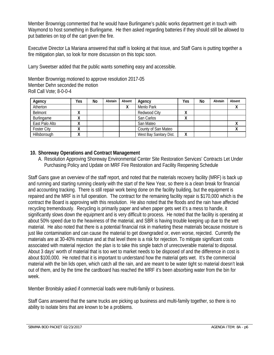Member Brownrigg commented that he would have Burlingame's public works department get in touch with Waymond to host something in Burlingame. He then asked regarding batteries if they should still be allowed to put batteries on top of the cart given the fire.

Executive Director La Mariana answered that staff is looking at that issue, and Staff Gans is putting together a fire mitigation plan, so look for more discussion on this topic soon.

Larry Sweetser added that the public wants something easy and accessible.

Member Brownrigg motioned to approve resolution 2017-05 Member Dehn seconded the motion Roll Call Vote; 8-0-0-4

| Agency             | Yes | No | Abstain | Absent | Agency                  | Yes    | No | Abstain | Absent |
|--------------------|-----|----|---------|--------|-------------------------|--------|----|---------|--------|
| Atherton           |     |    |         |        | Menlo Park              |        |    |         |        |
| Belmont            |     |    |         |        | Redwood City            | Λ      |    |         |        |
| Burlingame         |     |    |         |        | San Carlos              | Λ      |    |         |        |
| East Palo Alto     |     |    |         |        | San Mateo               |        |    |         |        |
| <b>Foster City</b> |     |    |         |        | County of San Mateo     |        |    |         |        |
| Hillsborough       |     |    |         |        | West Bay Sanitary Dist. | v<br>Λ |    |         |        |

#### **10. Shoreway Operations and Contract Management**

A. Resolution Approving Shoreway Environmental Center Site Restoration Services' Contracts Let Under Purchasing Policy and Update on MRF Fire Restoration and Facility Reopening Schedule

Staff Gans gave an overview of the staff report, and noted that the materials recovery facility (MRF) is back up and running and starting running cleanly with the start of the New Year, so there is a clean break for financial and accounting tracking. There is still repair work being done on the facility building, but the equipment is repaired and the MRF is in full operation. The contract for the remaining facility repair is \$170,000 which is the contract the Board is approving with this resolution. He also noted that the floods and the rain have affected recycling tremendously. Recycling is primarily paper and when paper gets wet it's a mess to handle, it significantly slows down the equipment and is very difficult to process. He noted that the facility is operating at about 50% speed due to the heaviness of the material, and SBR is having trouble keeping up due to the wet material. He also noted that there is a potential financial risk in marketing these materials because moisture is just like contamination and can cause the material to get downgraded or, even worse, rejected. Currently the materials are at 30-40% moisture and at that level there is a risk for rejection. To mitigate significant costs associated with material rejection the plan is to take this single batch of unrecoverable material to disposal. About 3 days' worth of material that is too wet to market needs to be disposed of and the difference in cost is about \$100,000. He noted that it is important to understand how the material gets wet. It's the commercial material with the bin lids open, which catch all the rain, and are meant to be water tight so material doesn't leak out of them, and by the time the cardboard has reached the MRF it's been absorbing water from the bin for week.

Member Bronitsky asked if commercial loads were multi-family or business.

Staff Gans answered that the same trucks are picking up business and multi-family together, so there is no ability to isolate bins that are known to be a problems.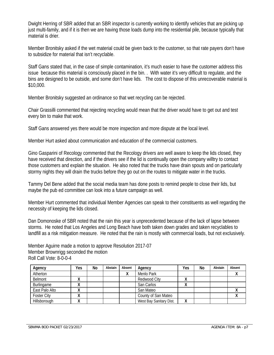Dwight Herring of SBR added that an SBR inspector is currently working to identify vehicles that are picking up just multi-family, and if it is then we are having those loads dump into the residential pile, because typically that material is drier.

Member Bronitsky asked if the wet material could be given back to the customer, so that rate payers don't have to subsidize for material that isn't recyclable.

Staff Gans stated that, in the case of simple contamination, it's much easier to have the customer address this issue because this material is consciously placed in the bin. . With water it's very difficult to regulate, and the bins are designed to be outside, and some don't have lids. The cost to dispose of this unrecoverable material is \$10,000.

Member Bronitsky suggested an ordinance so that wet recycling can be rejected.

Chair Grassilli commented that rejecting recycling would mean that the driver would have to get out and test every bin to make that work.

Staff Gans answered yes there would be more inspection and more dispute at the local level.

Member Hurt asked about communication and education of the commercial customers.

Gino Gasparini of Recology commented that the Recology drivers are well aware to keep the lids closed, they have received that direction, and if the drivers see if the lid is continually open the company willtry to contact those customers and explain the situation. He also noted that the trucks have drain spouts and on particularly stormy nights they will drain the trucks before they go out on the routes to mitigate water in the trucks.

Tammy Del Bene added that the social media team has done posts to remind people to close their lids, but maybe the pub ed committee can look into a future campaign as well.

Member Hurt commented that individual Member Agencies can speak to their constituents as well regarding the necessity of keeping the lids closed.

Dan Domonoske of SBR noted that the rain this year is unprecedented because of the lack of lapse between storms. He noted that Los Angeles and Long Beach have both taken down grades and taken recyclables to landfill as a risk mitigation measure. He noted that the rain is mostly with commercial loads, but not exclusively.

Member Aguirre made a motion to approve Resolution 2017-07 Member Brownrigg seconded the motion Roll Call Vote: 8-0-0-4

| Agency             | Yes | No | Abstain | Absent | Agency                  | Yes          | No | Abstain | Absent |
|--------------------|-----|----|---------|--------|-------------------------|--------------|----|---------|--------|
| Atherton           |     |    |         |        | Menlo Park              |              |    |         |        |
| Belmont            |     |    |         |        | Redwood City            |              |    |         |        |
| Burlingame         | "   |    |         |        | San Carlos              | $\mathbf{v}$ |    |         |        |
| East Palo Alto     |     |    |         |        | San Mateo               |              |    |         |        |
| <b>Foster City</b> |     |    |         |        | County of San Mateo     |              |    |         |        |
| Hillsborough       |     |    |         |        | West Bay Sanitary Dist. | v<br>Λ       |    |         |        |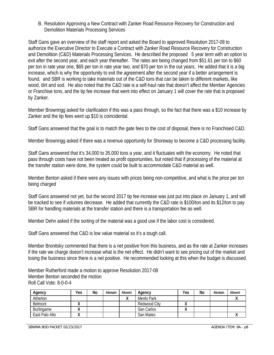B. Resolution Approving a New Contract with Zanker Road Resource Recovery for Construction and Demolition Materials Processing Services

Staff Gans gave an overview of the staff report and asked the Board to approved Resolution 2017-08 to authorize the Executive Director to Execute a Contract with Zanker Road Resource Recovery for Construction and Demolition (C&D) Materials Processing Services. He described the proposed 5 year term with an option to exit after the second year, and each year thereafter. The rates are being changed from \$51.61 per ton to \$60 per ton in rate year one, \$65 per ton in rate year two, and \$70 per ton in the out years, He added that it is a big increase, which is why the opportunity to exit the agreement after the second year if a better arrangement is found, and SBR is working to take materials out of the C&D tons that can be taken to different markets, like wood, dirt and sod. He also noted that the C&D rate is a self-haul rate that doesn't affect the Member Agencies or Franchise tons, and the tip fee increase that went into effect on January 1 will cover the rate that is proposed by Zanker.

Member Brownrigg asked for clarification if this was a pass through, so the fact that there was a \$10 increase by Zanker and the tip fees went up \$10 is coincidental.

Staff Gans answered that the goal is to match the gate fees to the cost of disposal, there is no Franchised C&D.

Member Brownrigg asked if there was a revenue opportunity for Shoreway to become a C&D processing facility.

Staff Gans answered that it's 34,000 to 35,000 tons a year, and it fluctuates with the economy. He noted that pass through costs have not been treated as profit opportunities, but noted that if processing of the material at the transfer station were done, the system could be built to accommodate C&D material as well.

Member Benton asked if there were any issues with prices being non-competitive, and what is the price per ton being charged

Staff Gans answered not yet, but the second 2017 tip fee increase was just put into place on January 1, and will be tracked to see if volumes decrease. He added that currently the C&D rate is \$100/ton and its \$12/ton to pay SBR for handling materials at the transfer station and there is a transportation fee as well.

Member Dehn asked if the sorting of the material was a good use if the labor cost is considered.

Staff Gans answered that C&D is low value material so it's a tough call.

Member Bronitsky commented that there is a net positive from this business, and as the rate at Zanker increases if the rate we charge doesn't increase what is the net effect. He didn't want to see pricing out of the market and losing the business since there is a net positive. He recommended looking at this when the budget is discussed.

Member Rutherford made a motion to approve Resolution 2017-08 Member Benton seconded the motion Roll Call Vote: 8-0-0-4

| Agency         | Yes. | No | Abstain | Absent | Agency       | Yes | No | Abstain | Absent |
|----------------|------|----|---------|--------|--------------|-----|----|---------|--------|
| Atherton       |      |    |         |        | Menlo Park   |     |    |         |        |
| <b>Belmont</b> |      |    |         |        | Redwood City | Λ   |    |         |        |
| Burlingame     |      |    |         |        | San Carlos   |     |    |         |        |
| East Palo Alto |      |    |         |        | San Mateo    |     |    |         |        |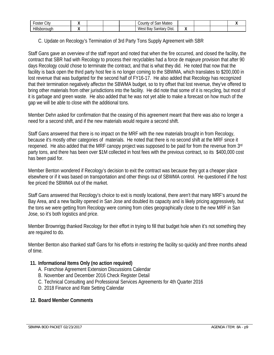| $\sim$<br>∩ct<br>City<br>usiei                 |  |  | Mateo<br>sar<br>0t<br>Count∨                 |     |  |  |
|------------------------------------------------|--|--|----------------------------------------------|-----|--|--|
| .<br>Hill <sup>e</sup><br>ouah<br>:nnı<br>יי י |  |  | Dist.<br>Sanitar <sup>-</sup><br>West<br>вау | . . |  |  |

#### C. Update on Recology's Termination of 3rd Party Tons Supply Agreement with SBR

Staff Gans gave an overview of the staff report and noted that when the fire occurred, and closed the facility, the contract that SBR had with Recology to process their recyclables had a force de majeure provision that after 90 days Recology could chose to terminate the contract, and that is what they did. He noted that now that the facility is back open the third party host fee is no longer coming to the SBWMA, which translates to \$200,000 in lost revenue that was budgeted for the second half of FY16-17. He also added that Recology has recognized that their termination negatively affectsn the SBWMA budget, so to try offset that lost revenue, they've offered to bring other materials from other jurisdictions into the facility. He did note that some of it is recycling, but most of it is garbage and green waste. He also added that he was not yet able to make a forecast on how much of the gap we will be able to close with the additional tons.

Member Dehn asked for confirmation that the ceasing of this agreement meant that there was also no longer a need for a second shift, and if the new materials would require a second shift.

Staff Gans answered that there is no impact on the MRF with the new materials brought in from Recology, because it's mostly other categories of materials. He noted that there is no second shift at the MRF since it reopened. He also added that the MRF canopy project was supposed to be paid for from the revenue from 3rd party tons, and there has been over \$1M collected in host fees with the previous contract, so its \$400,000 cost has been paid for.

Member Benton wondered if Recology's decision to exit the contract was because they got a cheaper place elsewhere or if it was based on transportation and other things out of SBWMA control. He questioned if the host fee priced the SBWMA out of the market.

Staff Gans answered that Recology's choice to exit is mostly locational, there aren't that many MRF's around the Bay Area, and a new facility opened in San Jose and doubled its capacity and is likely pricing aggressively, but the tons we were getting from Recology were coming from cities geographically close to the new MRF in San Jose, so it's both logistics and price.

Member Brownrigg thanked Recology for their effort in trying to fill that budget hole when it's not something they are required to do.

Member Benton also thanked staff Gans for his efforts in restoring the facility so quickly and three months ahead of time.

#### **11. Informational Items Only (no action required)**

- A. Franchise Agreement Extension Discussions Calendar
- B. November and December 2016 Check Register Detail
- C. Technical Consulting and Professional Services Agreements for 4th Quarter 2016
- D. 2018 Finance and Rate Setting Calendar

#### **12. Board Member Comments**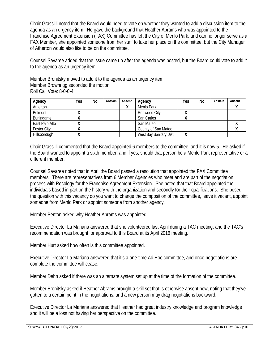Chair Grassilli noted that the Board would need to vote on whether they wanted to add a discussion item to the agenda as an urgency item. He gave the background that Heather Abrams who was appointed to the Franchise Agreement Extension (FAX) Committee has left the City of Menlo Park, and can no longer serve as a FAX Member, she appointed someone from her staff to take her place on the committee, but the City Manager of Atherton would also like to be on the committee.

Counsel Savaree added that the issue came up after the agenda was posted, but the Board could vote to add it to the agenda as an urgency item.

Member Bronitsky moved to add it to the agenda as an urgency item Member Brownrigg seconded the motion Roll Call Vote: 8-0-0-4

| Agency             | Yes          | No | Abstain | Absent | Agency                  | Yes          | No | Abstain | Absent |
|--------------------|--------------|----|---------|--------|-------------------------|--------------|----|---------|--------|
| Atherton           |              |    |         |        | Menlo Park              |              |    |         |        |
| Belmont            | $\cdots$     |    |         |        | Redwood City            | $\mathbf{v}$ |    |         |        |
| Burlingame         | $\mathbf{v}$ |    |         |        | San Carlos              | Λ            |    |         |        |
| East Palo Alto     | $\lambda$    |    |         |        | San Mateo               |              |    |         |        |
| <b>Foster City</b> | $\lambda$    |    |         |        | County of San Mateo     |              |    |         |        |
| Hillsborough       | $\lambda$    |    |         |        | West Bay Sanitary Dist. | v<br>Λ       |    |         |        |

Chair Grassilli commented that the Board appointed 6 members to the committee, and it is now 5. He asked if the Board wanted to appoint a sixth member, and if yes, should that person be a Menlo Park representative or a different member.

Counsel Savaree noted that in April the Board passed a resolution that appointed the FAX Committee members. There are representatives from 6 Member Agencies who meet and are part of the negotiation process with Recology for the Franchise Agreement Extension. She noted that that Board appointed the individuals based in part on the history with the organization and secondly for their qualifications. She posed the question with this vacancy do you want to change the composition of the committee, leave it vacant, appoint someone from Menlo Park or appoint someone from another agency.

Member Benton asked why Heather Abrams was appointed.

Executive Director La Mariana answered that she volunteered last April during a TAC meeting, and the TAC's recommendation was brought for approval to this Board at its April 2016 meeting.

Member Hurt asked how often is this committee appointed.

Executive Director La Mariana answered that it's a one-time Ad Hoc committee, and once negotiations are complete the committee will cease.

Member Dehn asked if there was an alternate system set up at the time of the formation of the committee.

Member Bronitsky asked if Heather Abrams brought a skill set that is otherwise absent now, noting that they've gotten to a certain point in the negotiations, and a new person may drag negotiations backward.

Executive Director La Mariana answered that Heather had great industry knowledge and program knowledge and it will be a loss not having her perspective on the committee.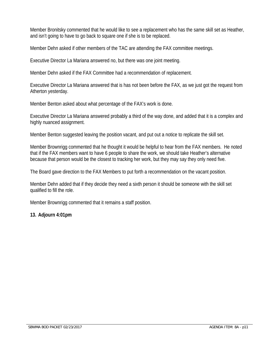Member Bronitsky commented that he would like to see a replacement who has the same skill set as Heather, and isn't going to have to go back to square one if she is to be replaced.

Member Dehn asked if other members of the TAC are attending the FAX committee meetings.

Executive Director La Mariana answered no, but there was one joint meeting.

Member Dehn asked if the FAX Committee had a recommendation of replacement.

Executive Director La Mariana answered that is has not been before the FAX, as we just got the request from Atherton yesterday.

Member Benton asked about what percentage of the FAX's work is done.

Executive Director La Mariana answered probably a third of the way done, and added that it is a complex and highly nuanced assignment.

Member Benton suggested leaving the position vacant, and put out a notice to replicate the skill set.

Member Brownrigg commented that he thought it would be helpful to hear from the FAX members. He noted that if the FAX members want to have 6 people to share the work, we should take Heather's alternative because that person would be the closest to tracking her work, but they may say they only need five.

The Board gave direction to the FAX Members to put forth a recommendation on the vacant position.

Member Dehn added that if they decide they need a sixth person it should be someone with the skill set qualified to fill the role.

Member Brownrigg commented that it remains a staff position.

#### **13. Adjourn 4:01pm**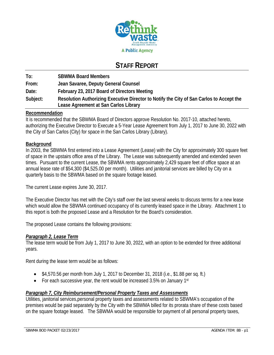

# **STAFF REPORT**

| To:      | <b>SBWMA Board Members</b>                                                                                                        |
|----------|-----------------------------------------------------------------------------------------------------------------------------------|
| From:    | Jean Savaree, Deputy General Counsel                                                                                              |
| Date:    | February 23, 2017 Board of Directors Meeting                                                                                      |
| Subject: | Resolution Authorizing Executive Director to Notify the City of San Carlos to Accept the<br>Lease Agreement at San Carlos Library |

#### **Recommendation**

It is recommended that the SBWMA Board of Directors approve Resolution No. 2017-10, attached hereto, authorizing the Executive Director to Execute a 5-Year Lease Agreement from July 1, 2017 to June 30, 2022 with the City of San Carlos (City) for space in the San Carlos Library (Library).

#### **Background**

In 2003, the SBWMA first entered into a Lease Agreement (Lease) with the City for approximately 300 square feet of space in the upstairs office area of the Library. The Lease was subsequently amended and extended seven times. Pursuant to the current Lease, the SBWMA rents approximately 2,429 square feet of office space at an annual lease rate of \$54,300 (\$4,525.00 per month). Utilities and janitorial services are billed by City on a quarterly basis to the SBWMA based on the square footage leased.

The current Lease expires June 30, 2017.

The Executive Director has met with the City's staff over the last several weeks to discuss terms for a new lease which would allow the SBWMA continued occupancy of its currently leased space in the Library. Attachment 1 to this report is both the proposed Lease and a Resolution for the Board's consideration.

The proposed Lease contains the following provisions:

#### *Paragraph 2, Lease Term*

The lease term would be from July 1, 2017 to June 30, 2022, with an option to be extended for three additional years.

Rent during the lease term would be as follows:

- $\bullet$  \$4,570.56 per month from July 1, 2017 to December 31, 2018 (i.e., \$1.88 per sq. ft.)
- For each successive year, the rent would be increased 3.5% on January 1st

#### *Paragraph 7, City Reimbursement/Personal Property Taxes and Assessments*

Utilities, janitorial services,personal property taxes and assessments related to SBWMA's occupation of the premises would be paid separately by the City with the SBWMA billed for its prorata share of these costs based on the square footage leased. The SBWMA would be responsible for payment of all personal property taxes,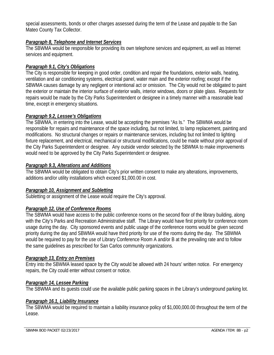special assessments, bonds or other charges assessed during the term of the Lease and payable to the San Mateo County Tax Collector.

#### *Paragraph 8, Telephone and Internet Services*

The SBWMA would be responsible for providing its own telephone services and equipment, as well as Internet services and equipment.

#### *Paragraph 9.1, City's Obligations*

The City is responsible for keeping in good order, condition and repair the foundations, exterior walls, heating, ventilation and air conditioning systems, electrical panel, water main and the exterior roofing; except if the SBWMA causes damage by any negligent or intentional act or omission. The City would not be obligated to paint the exterior or maintain the interior surface of exterior walls, interior windows, doors or plate glass. Requests for repairs would be made by the City Parks Superintendent or designee in a timely manner with a reasonable lead time, except in emergency situations.

#### *Paragraph 9.2, Lessee's Obligations*

The SBWMA, in entering into the Lease, would be accepting the premises "As Is." The SBWMA would be responsible for repairs and maintenance of the space including, but not limited, to lamp replacement, painting and modifications. No structural changes or repairs or maintenance services, including but not limited to lighting fixture replacement, and electrical, mechanical or structural modifications, could be made without prior approval of the City Parks Superintendent or designee. Any outside vendor selected by the SBWMA to make improvements would need to be approved by the City Parks Superintendent or designee.

#### *Paragraph 9.3, Alterations and Additions*

The SBWMA would be obligated to obtain City's prior written consent to make any alterations, improvements, additions and/or utility installations which exceed \$1,000.00 in cost.

#### *Paragraph 10, Assignment and Subletting*

Subletting or assignment of the Lease would require the City's approval.

#### *Paragraph 12, Use of Conference Rooms*

The SBWMA would have access to the public conference rooms on the second floor of the library building, along with the City's Parks and Recreation Administrative staff. The Library would have first priority for conference room usage during the day. City sponsored events and public usage of the conference rooms would be given second priority during the day and SBWMA would have third priority for use of the rooms during the day. The SBWMA would be required to pay for the use of Library Conference Room A and/or B at the prevailing rate and to follow the same guidelines as prescribed for San Carlos community organizations.

#### *Paragraph 13, Entry on Premises*

Entry into the SBWMA leased space by the City would be allowed with 24 hours' written notice. For emergency repairs, the City could enter without consent or notice.

#### *Paragraph 14, Lessee Parking*

The SBWMA and its guests could use the available public parking spaces in the Library's underground parking lot.

#### *Paragraph 16.1, Liability Insurance*

The SBWMA would be required to maintain a liability insurance policy of \$1,000,000.00 throughout the term of the Lease.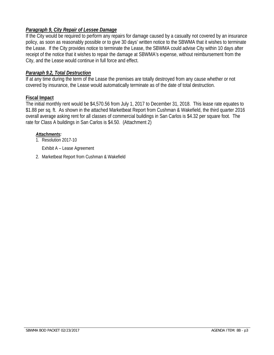#### *Paragraph 9, City Repair of Lessee Damage*

If the City would be required to perform any repairs for damage caused by a casualty not covered by an insurance policy, as soon as reasonably possible or to give 30 days' written notice to the SBWMA that it wishes to terminate the Lease. If the City provides notice to terminate the Lease, the SBWMA could advise City within 10 days after receipt of the notice that it wishes to repair the damage at SBWMA's expense, without reimbursement from the City, and the Lease would continue in full force and effect.

#### *Pararaph 9.2, Total Destruction*

If at any time during the term of the Lease the premises are totally destroyed from any cause whether or not covered by insurance, the Lease would automatically terminate as of the date of total destruction.

#### **Fiscal Impact**

The initial monthly rent would be \$4,570.56 from July 1, 2017 to December 31, 2018. This lease rate equates to \$1.88 per sq. ft. As shown in the attached Marketbeat Report from Cushman & Wakefield, the third quarter 2016 overall average asking rent for all classes of commercial buildings in San Carlos is \$4.32 per square foot. The rate for Class A buildings in San Carlos is \$4.50. (Attachment 2)

#### *Attachments:*

1. Resolution 2017-10

Exhibit A – Lease Agreement

2. Marketbeat Report from Cushman & Wakefield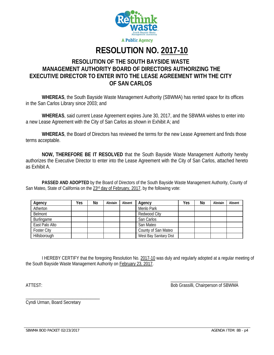

# **RESOLUTION NO. 2017-10**

# **RESOLUTION OF THE SOUTH BAYSIDE WASTE MANAGEMENT AUTHORITY BOARD OF DIRECTORS AUTHORIZING THE EXECUTIVE DIRECTOR TO ENTER INTO THE LEASE AGREEMENT WITH THE CITY OF SAN CARLOS**

**WHEREAS**, the South Bayside Waste Management Authority (SBWMA) has rented space for its offices in the San Carlos Library since 2003; and

**WHEREAS**, said current Lease Agreement expires June 30, 2017, and the SBWMA wishes to enter into a new Lease Agreement with the City of San Carlos as shown in Exhibit A; and

**WHEREAS**, the Board of Directors has reviewed the terms for the new Lease Agreement and finds those terms acceptable.

**NOW, THEREFORE BE IT RESOLVED** that the South Bayside Waste Management Authority hereby authorizes the Executive Director to enter into the Lease Agreement with the City of San Carlos, attached hereto as Exhibit A.

 **PASSED AND ADOPTED** by the Board of Directors of the South Bayside Waste Management Authority, County of San Mateo, State of California on the 23<sup>rd</sup> day of February, 2017, by the following vote:

| Agency             | Yes | No | Abstain | Absent | Agency                 | Yes | No | Abstain | Absent |
|--------------------|-----|----|---------|--------|------------------------|-----|----|---------|--------|
| Atherton           |     |    |         |        | Menlo Park             |     |    |         |        |
| Belmont            |     |    |         |        | Redwood City           |     |    |         |        |
| Burlingame         |     |    |         |        | San Carlos             |     |    |         |        |
| East Palo Alto     |     |    |         |        | San Mateo              |     |    |         |        |
| <b>Foster City</b> |     |    |         |        | County of San Mateo    |     |    |         |        |
| Hillsborough       |     |    |         |        | West Bay Sanitary Dist |     |    |         |        |

 I HEREBY CERTIFY that the foregoing Resolution No. 2017-10 was duly and regularly adopted at a regular meeting of the South Bayside Waste Management Authority on February 23, 2017.

 $\overline{\phantom{a}}$  , and the contract of the contract of the contract of the contract of the contract of the contract of the contract of the contract of the contract of the contract of the contract of the contract of the contrac

ATTEST: Bob Grassilli, Chairperson of SBWMA

Cyndi Urman, Board Secretary

\_\_\_\_\_\_\_\_\_\_\_\_\_\_\_\_\_\_\_\_\_\_\_\_\_\_\_\_\_\_\_\_\_

SBWMA BOD PACKET 02/23/2017 **AGENDA ITEM: 8B - p4** AGENDA ITEM: 8B - p4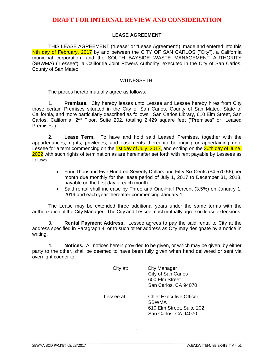#### **LEASE AGREEMENT**

THIS LEASE AGREEMENT ("Lease" or "Lease Agreement"), made and entered into this Nth day of February, 2017 by and between the CITY OF SAN CARLOS ("City"), a California municipal corporation, and the SOUTH BAYSIDE WASTE MANAGEMENT AUTHORITY (SBWMA) ("Lessee"), a California Joint Powers Authority, executed in the City of San Carlos, County of San Mateo.

#### WITNESSETH:

The parties hereto mutually agree as follows:

1. **Premises.** City hereby leases unto Lessee and Lessee hereby hires from City those certain Premises situated in the City of San Carlos, County of San Mateo, State of California, and more particularly described as follows: San Carlos Library, 610 Elm Street, San Carlos, California, 2nd Floor, Suite 202, totaling 2,429 square feet ("Premises" or "Leased Premises").

2. **Lease Term.** To have and hold said Leased Premises, together with the appurtenances, rights, privileges, and easements thereunto belonging or appertaining unto Lessee for a term commencing on the 1st day of July, 2017, and ending on the 30th day of June, 2022 with such rights of termination as are hereinafter set forth with rent payable by Lessees as follows:

- Four Thousand Five Hundred Seventy Dollars and Fifty Six Cents (\$4,570.56) per month due monthly for the lease period of July 1, 2017 to December 31, 2018, payable on the first day of each month.
- Said rental shall increase by Three and One-Half Percent (3.5%) on January 1, 2019 and each year thereafter commencing January 1.

The Lease may be extended three additional years under the same terms with the authorization of the City Manager. The City and Lessee must mutually agree on lease extensions.

3. **Rental Payment Address.** Lessee agrees to pay the said rental to City at the address specified in Paragraph 4, or to such other address as City may designate by a notice in writing.

4. **Notices.** All notices herein provided to be given, or which may be given, by either party to the other, shall be deemed to have been fully given when hand delivered or sent via overnight courier to:

| City at:   | <b>City Manager</b><br>City of San Carlos<br>600 Elm Street<br>San Carlos, CA 94070                 |
|------------|-----------------------------------------------------------------------------------------------------|
| Lessee at: | <b>Chief Executive Officer</b><br><b>SBWMA</b><br>610 Elm Street, Suite 202<br>San Carlos, CA 94070 |

\_\_\_\_\_\_\_\_\_\_\_\_\_\_\_\_\_\_\_\_\_\_\_\_\_\_\_\_\_\_\_\_\_\_\_\_\_ \_\_\_\_\_\_\_\_\_\_\_\_\_\_\_\_\_\_\_\_\_\_\_\_\_\_\_\_\_\_\_\_\_\_\_\_\_\_\_\_\_\_\_\_\_\_\_\_\_\_\_\_\_\_\_\_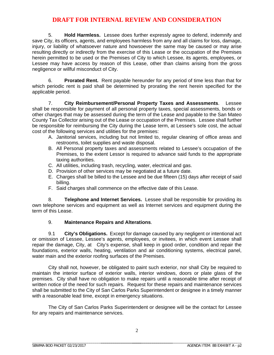5. **Hold Harmless.** Lessee does further expressly agree to defend, indemnify and save City, its officers, agents, and employees harmless from any and all claims for loss, damage, injury, or liability of whatsoever nature and howsoever the same may be caused or may arise resulting directly or indirectly from the exercise of this Lease or the occupation of the Premises herein permitted to be used or the Premises of City to which Lessee, its agents, employees, or Lessee may have access by reason of this Lease, other than claims arising from the gross negligence or willful misconduct of City.

6. **Prorated Rent.** Rent payable hereunder for any period of time less than that for which periodic rent is paid shall be determined by prorating the rent herein specified for the applicable period.

7. **City Reimbursement/Personal Property Taxes and Assessments**. Lessee shall be responsible for payment of all personal property taxes, special assessments, bonds or other charges that may be assessed during the term of the Lease and payable to the San Mateo County Tax Collector arising out of the Lease or occupation of the Premises. Lessee shall further be responsible for reimbursing the City during the Lease term, at Lessee's sole cost, the actual cost of the following services and utilities for the premises:

- A. Janitorial services, including but not limited to, regular cleaning of office areas and restrooms, toilet supplies and waste disposal.
- B. All Personal property taxes and assessments related to Lessee's occupation of the Premises, to the extent Lessor is required to advance said funds to the appropriate taxing authorities.
- C. All utilities, including trash, recycling, water, electrical and gas.
- D. Provision of other services may be negotiated at a future date.
- E. Charges shall be billed to the Lessee and be due fifteen (15) days after receipt of said billing.
- F. Said charges shall commence on the effective date of this Lease.

8. **Telephone and Internet Services.** Lessee shall be responsible for providing its own telephone services and equipment as well as Internet services and equipment during the term of this Lease.

#### 9. **Maintenance Repairs and Alterations**.

9.1 **City's Obligations.** Except for damage caused by any negligent or intentional act or omission of Lessee, Lessee's agents, employees, or invitees, in which event Lessee shall repair the damage, City, at City's expense, shall keep in good order, condition and repair the foundations, exterior walls, heating, ventilation and air conditioning systems, electrical panel, water main and the exterior roofing surfaces of the Premises.

City shall not, however, be obligated to paint such exterior, nor shall City be required to maintain the interior surface of exterior walls, interior windows, doors or plate glass of the premises. City shall have no obligation to make repairs until a reasonable time after receipt of written notice of the need for such repairs. Request for these repairs and maintenance services shall be submitted to the City of San Carlos Parks Superintendent or designee in a timely manner with a reasonable lead time, except in emergency situations.

The City of San Carlos Parks Superintendent or designee will be the contact for Lessee for any repairs and maintenance services.

\_\_\_\_\_\_\_\_\_\_\_\_\_\_\_\_\_\_\_\_\_\_\_\_\_\_\_\_\_\_\_\_\_\_\_\_\_\_\_\_\_\_\_\_\_\_\_\_\_\_\_\_\_\_\_\_

\_\_\_\_\_\_\_\_\_\_\_\_\_\_\_\_\_\_\_\_\_\_\_\_\_\_\_\_\_\_\_\_\_\_\_\_\_ \_\_\_\_\_\_\_\_\_\_\_\_\_\_\_\_\_\_\_\_\_\_\_\_\_\_\_\_\_\_\_\_\_\_\_\_\_\_\_\_\_\_\_\_\_\_\_\_\_\_\_\_\_\_\_\_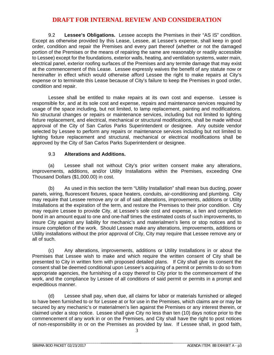9.2 **Lessee's Obligations.** Lessee accepts the Premises in their "AS IS" condition. Except as otherwise provided by this Lease, Lessee, at Lessee's expense, shall keep in good order, condition and repair the Premises and every part thereof (whether or not the damaged portion of the Premises or the means of repairing the same are reasonably or readily accessible to Lessee) except for the foundations, exterior walls, heating, and ventilation systems, water main, electrical panel, exterior roofing surfaces of the Premises and any termite damage that may exist at the commencement of this Lease. Lessee expressly waives the benefit of any statute now or hereinafter in effect which would otherwise afford Lessee the right to make repairs at City's expense or to terminate this Lease because of City's failure to keep the Premises in good order, condition and repair.

Lessee shall be entitled to make repairs at its own cost and expense. Lessee is responsible for, and at its sole cost and expense, repairs and maintenance services required by usage of the space including, but not limited, to lamp replacement, painting and modifications. No structural changes or repairs or maintenance services, including but not limited to lighting fixture replacement, and electrical, mechanical or structural modifications, shall be made without approval of the City of San Carlos Parks Superintendent or designee. Any outside vendor selected by Lessee to perform any repairs or maintenance services including but not limited to lighting fixture replacement and structural, mechanical or electrical modifications shall be approved by the City of San Carlos Parks Superintendent or designee.

#### 9.3 **Alterations and Additions.**

(a) Lessee shall not without City's prior written consent make any alterations, improvements, additions, and/or Utility Installations within the Premises, exceeding One Thousand Dollars (\$1,000.00) in cost.

(b) As used in this section the term "Utility Installation" shall mean bus ducting, power panels, wiring, fluorescent fixtures, space heaters, conduits, air-conditioning and plumbing. City may require that Lessee remove any or all of said alterations, improvements, additions or Utility Installations at the expiration of the term, and restore the Premises to their prior condition. City may require Lessee to provide City, at Lessee's sole cost and expense, a lien and completion bond in an amount equal to one and one-half times the estimated costs of such improvements, to insure City against any liability for mechanic's and materialmen's liens or stop notices and to insure completion of the work. Should Lessee make any alterations, improvements, additions or Utility installations without the prior approval of City, City may require that Lessee remove any or all of such.

(c) Any alterations, improvements, additions or Utility Installations in or about the Premises that Lessee wish to make and which require the written consent of City shall be presented to City in written form with proposed detailed plans. If City shall give its consent the consent shall be deemed conditional upon Lessee's acquiring of a permit or permits to do so from appropriate agencies, the furnishing of a copy thereof to City prior to the commencement of the work, and the compliance by Lessee of all conditions of said permit or permits in a prompt and expeditious manner.

(d) Lessee shall pay, when due, all claims for labor or materials furnished or alleged to have been furnished to or for Lessee at or for use in the Premises, which claims are or may be secured by any mechanic's or materialmen's lien against the Premises or any interest therein, or claimed under a stop notice. Lessee shall give City no less than ten (10) days notice prior to the commencement of any work in or on the Premises, and City shall have the right to post notices of non-responsibility in or on the Premises as provided by law. If Lessee shall, in good faith,

3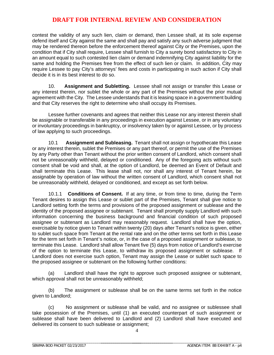contest the validity of any such lien, claim or demand, then Lessee shall, at its sole expense defend itself and City against the same and shall pay and satisfy any such adverse judgment that may be rendered thereon before the enforcement thereof against City or the Premises, upon the condition that if City shall require, Lessee shall furnish to City a surety bond satisfactory to City in an amount equal to such contested lien claim or demand indemnifying City against liability for the same and holding the Premises free from the effect of such lien or claim. In addition, City may require Lessee to pay City's attorneys' fees and costs in participating in such action if City shall decide it is in its best interest to do so.

10. **Assignment and Subletting.** Lessee shall not assign or transfer this Lease or any interest therein, nor sublet the whole or any part of the Premises without the prior mutual agreement with the City. The Lessee understands that it is leasing space in a government building and that City reserves the right to determine who shall occupy its Premises.

Lessee further covenants and agrees that neither this Lease nor any interest therein shall be assignable or transferable in any proceedings in execution against Lessee, or in any voluntary or involuntary proceedings in bankruptcy, or insolvency taken by or against Lessee, or by process of law applying to such proceedings.

10.1 **Assignment and Subleasing.** Tenant shall not assign or hypothecate this Lease or any interest therein, sublet the Premises or any part thereof, or permit the use of the Premises by any Party other than Tenant without the prior written consent of Landlord, which consent shall not be unreasonably withheld, delayed or conditioned. Any of the foregoing acts without such consent shall be void and shall, at the option of Landlord, be deemed an Event of Default and shall terminate this Lease. This lease shall not, nor shall any interest of Tenant herein, be assignable by operation of law without the written consent of Landlord, which consent shall not be unreasonably withheld, delayed or conditioned, and except as set forth below.

10.1.1 **Conditions of Consent.** If at any time, or from time to time, during the Term Tenant desires to assign this Lease or sublet part of the Premises, Tenant shall give notice to Landlord setting forth the terms and provisions of the proposed assignment or sublease and the identity of the proposed assignee or subtenant. Tenant shall promptly supply Landlord with such information concerning the business background and financial condition of such proposed assignee or subtenant as Landlord may reasonably request. Landlord shall have the option, exercisable by notice given to Tenant within twenty (20) days after Tenant's notice is given, either to sublet such space from Tenant at the rental rate and on the other terms set forth in this Lease for the term set forth in Tenant's notice, or, in the case of a proposed assignment or sublease, to terminate this Lease. Landlord shall allow Tenant five (5) days from notice of Landlord's exercise of the option to terminate this Lease, to withdraw its proposed assignment or sublease. If Landlord does not exercise such option, Tenant may assign the Lease or sublet such space to the proposed assignee or subtenant on the following further conditions:

(a) Landlord shall have the right to approve such proposed assignee or subtenant, which approval shall not be unreasonably withheld;

(b) The assignment or sublease shall be on the same terms set forth in the notice given to Landlord;

(c) No assignment or sublease shall be valid, and no assignee or sublessee shall take possession of the Premises, until (1) an executed counterpart of such assignment or sublease shall have been delivered to Landlord and (2) Landlord shall have executed and delivered its consent to such sublease or assignment;

4

\_\_\_\_\_\_\_\_\_\_\_\_\_\_\_\_\_\_\_\_\_\_\_\_\_\_\_\_\_\_\_\_\_\_\_\_\_ \_\_\_\_\_\_\_\_\_\_\_\_\_\_\_\_\_\_\_\_\_\_\_\_\_\_\_\_\_\_\_\_\_\_\_\_\_\_\_\_\_\_\_\_\_\_\_\_\_\_\_\_\_\_\_\_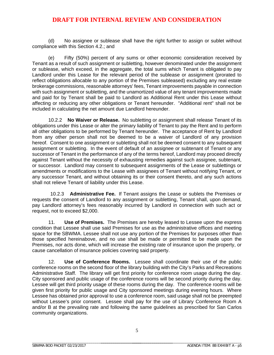(d) No assignee or sublease shall have the right further to assign or sublet without compliance with this Section 4.2.; and

(e) Fifty (50%) percent of any sums or other economic consideration received by Tenant as a result of such assignment or subletting, however denominated under the assignment or sublease, which exceed, in the aggregate, the total sums which Tenant is obligated to pay Landlord under this Lease for the relevant period of the sublease or assignment (prorated to reflect obligations allocable to any portion of the Premises subleased) excluding any real estate brokerage commissions, reasonable attorneys' fees, Tenant improvements payable in connection with such assignment or subletting, and the unamortized value of any tenant improvements made and paid for by Tenant shall be paid to Landlord as Additional Rent under this Lease without affecting or reducing any other obligations or Tenant hereunder. "Additional rent" shall not be included in calculating the net amount due Landlord hereunder.

10.2.2 **No Waiver or Release.** No subletting or assignment shall release Tenant of its obligations under this Lease or alter the primary liability of Tenant to pay the Rent and to perform all other obligations to be performed by Tenant hereunder. The acceptance of Rent by Landlord from any other person shall not be deemed to be a waiver of Landlord of any provision hereof. Consent to one assignment or subletting shall not be deemed consent to any subsequent assignment or subletting. In the event of default of an assignee or subtenant of Tenant or any successor of Tenant in the performance of any of the terms hereof, Landlord may proceed directly against Tenant without the necessity of exhausting remedies against such assignee, subtenant, or successor. Landlord may consent to subsequent assignments of the Lease or sublettings or amendments or modifications to the Lease with assignees of Tenant without notifying Tenant, or any successor Tenant, and without obtaining its or their consent thereto, and any such actions shall not relieve Tenant of liability under this Lease.

10.2.3 **Administrative Fee.** If Tenant assigns the Lease or sublets the Premises or requests the consent of Landlord to any assignment or subletting, Tenant shall, upon demand, pay Landlord attorney's fees reasonably incurred by Landlord in connection with such act or request, not to exceed \$2,000.

11. **Use of Premises.** The Premises are hereby leased to Lessee upon the express condition that Lessee shall use said Premises for use as the administrative offices and meeting space for the SBWMA. Lessee shall not use any portion of the Premises for purposes other than those specified hereinabove, and no use shall be made or permitted to be made upon the Premises, nor acts done, which will increase the existing rate of insurance upon the property, or cause cancellation of insurance policies covering said property.

12. **Use of Conference Rooms.** Lessee shall coordinate their use of the public conference rooms on the second floor of the library building with the City's Parks and Recreations Administrative Staff. The library will get first priority for conference room usage during the day. City sponsored and public usage of the conference rooms will be second priority during the day. Lessee will get third priority usage of these rooms during the day. The conference rooms will be given first priority for public usage and City sponsored meetings during evening hours. Where Lessee has obtained prior approval to use a conference room, said usage shall not be preempted without Lessee's prior consent. Lessee shall pay for the use of Library Conference Room A and/or B at the prevailing rate and following the same guidelines as prescribed for San Carlos community organizations.

\_\_\_\_\_\_\_\_\_\_\_\_\_\_\_\_\_\_\_\_\_\_\_\_\_\_\_\_\_\_\_\_\_\_\_\_\_\_\_\_\_\_\_\_\_\_\_\_\_\_\_\_\_\_\_\_

\_\_\_\_\_\_\_\_\_\_\_\_\_\_\_\_\_\_\_\_\_\_\_\_\_\_\_\_\_\_\_\_\_\_\_\_\_ \_\_\_\_\_\_\_\_\_\_\_\_\_\_\_\_\_\_\_\_\_\_\_\_\_\_\_\_\_\_\_\_\_\_\_\_\_\_\_\_\_\_\_\_\_\_\_\_\_\_\_\_\_\_\_\_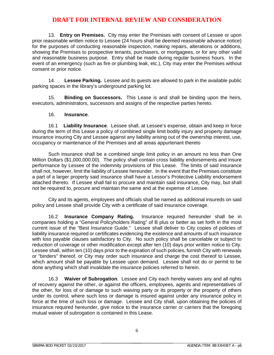13. **Entry on Premises.** City may enter the Premises with consent of Lessee or upon prior reasonable written notice to Lessee (24 hours shall be deemed reasonable advance notice) for the purposes of conducting reasonable inspection, making repairs, alterations or additions, showing the Premises to prospective tenants, purchasers, or mortgagees, or for any other valid and reasonable business purpose. Entry shall be made during regular business hours. In the event of an emergency (such as fire or plumbing leak, etc.), City may enter the Premises without consent or prior notice.

14. **Lessee Parking.** Lessee and its guests are allowed to park in the available public parking spaces in the library's underground parking lot.

15. **Binding on Successors.** This Lease is and shall be binding upon the heirs, executors, administrators, successors and assigns of the respective parties hereto.

#### 16. **Insurance**.

16.1 **Liability Insurance**. Lessee shall, at Lessee's expense, obtain and keep in force during the term of this Lease a policy of combined single limit bodily injury and property damage insurance insuring City and Lessee against any liability arising out of the ownership interest, use, occupancy or maintenance of the Premises and all areas appurtenant thereto

Such insurance shall be a combined single limit policy in an amount no less than One Million Dollars (\$1,000,000.00). The policy shall contain cross liability endorsements and insure performance by Lessee of the indemnity provisions of this Lease. The limits of said insurance shall not, however, limit the liability of Lessee hereunder. In the event that the Premises constitute a part of a larger property said insurance shall have a Lessor's Protective Liability endorsement attached thereto. If Lessee shall fail to procure and maintain said insurance, City may, but shall not be required to, procure and maintain the same and at the expense of Lessee.

City and its agents, employees and officials shall be named as additional insureds on said policy and Lessee shall provide City with a certificate of said insurance coverage.

16.2 **Insurance Company Rating.** Insurance required hereunder shall be in companies holding a "General Policyholders Rating" of B plus or better as set forth in the most current issue of the "Best Insurance Guide." Lessee shall deliver to City copies of policies of liability insurance required or certificates evidencing the existence and amounts of such insurance with loss payable clauses satisfactory to City. No such policy shall be cancelable or subject to reduction of coverage or other modification except after ten (10) days prior written notice to City. Lessee shall, within ten (10) days prior to the expiration of such policies, furnish City with renewals or "binders" thereof, or City may order such insurance and charge the cost thereof to Lessee, which amount shall be payable by Lessee upon demand. Lessee shall not do or permit to be done anything which shall invalidate the insurance policies referred to herein.

16.3 **Waiver of Subrogation**. Lessee and City each hereby waives any and all rights of recovery against the other, or against the officers, employees, agents and representatives of the other, for loss of or damage to such waiving party or its property or the property of others under its control, where such loss or damage is insured against under any insurance policy in force at the time of such loss or damage. Lessee and City shall, upon obtaining the policies of insurance required hereunder, give notice to the insurance carrier or carriers that the foregoing mutual waiver of subrogation is contained in this Lease.

\_\_\_\_\_\_\_\_\_\_\_\_\_\_\_\_\_\_\_\_\_\_\_\_\_\_\_\_\_\_\_\_\_\_\_\_\_ \_\_\_\_\_\_\_\_\_\_\_\_\_\_\_\_\_\_\_\_\_\_\_\_\_\_\_\_\_\_\_\_\_\_\_\_\_\_\_\_\_\_\_\_\_\_\_\_\_\_\_\_\_\_\_\_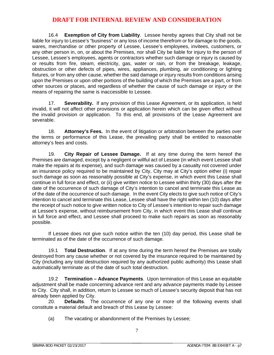16.4 **Exemption of City from Liability**. Lessee hereby agrees that City shall not be liable for injury to Lessee's "business" or any loss of income therefrom or for damage to the goods, wares, merchandise or other property of Lessee, Lessee's employees, invitees, customers, or any other person in, on, or about the Premises, nor shall City be liable for injury to the person of Lessee, Lessee's employees, agents or contractors whether such damage or injury is caused by or results from fire, steam, electricity, gas, water or rain, or from the breakage, leakage, obstruction or other defects of pipes, wires, appliances, plumbing, air conditioning or lighting fixtures, or from any other cause, whether the said damage or injury results from conditions arising upon the Premises or upon other portions of the building of which the Premises are a part, or from other sources or places, and regardless of whether the cause of such damage or injury or the means of repairing the same is inaccessible to Lessee.

17. **Severability.** If any provision of this Lease Agreement, or its application, is held invalid, it will not affect other provisions or application herein which can be given effect without the invalid provision or application. To this end, all provisions of the Lease Agreement are severable.

18. **Attorney's Fees.** In the event of litigation or arbitration between the parties over the terms or performance of this Lease, the prevailing party shall be entitled to reasonable attorney's fees and costs.

19. **City Repair of Lessee Damage.** If at any time during the term hereof the Premises are damaged, except by a negligent or willful act of Lessee (in which event Lessee shall make the repairs at its expense), and such damage was caused by a casualty not covered under an insurance policy required to be maintained by City, City may at City's option either (i) repair such damage as soon as reasonably possible at City's expense, in which event this Lease shall continue in full force and effect, or (ii) give written notice to Lessee within thirty (30) days after the date of the occurrence of such damage of City's intention to cancel and terminate this Lease as of the date of the occurrence of such damage. In the event City elects to give such notice of City's intention to cancel and terminate this Lease, Lessee shall have the right within ten (10) days after the receipt of such notice to give written notice to City of Lessee's intention to repair such damage at Lessee's expense, without reimbursement from City, in which event this Lease shall continue in full force and effect, and Lessee shall proceed to make such repairs as soon as reasonably possible.

If Lessee does not give such notice within the ten (10) day period, this Lease shall be terminated as of the date of the occurrence of such damage.

19.1 **Total Destruction**. If at any time during the term hereof the Premises are totally destroyed from any cause whether or not covered by the insurance required to be maintained by City (including any total destruction required by any authorized public authority) this Lease shall automatically terminate as of the date of such total destruction.

19.2 **Termination – Advance Payments**. Upon termination of this Lease an equitable adjustment shall be made concerning advance rent and any advance payments made by Lessee to City. City shall, in addition, return to Lessee so much of Lessee's security deposit that has not already been applied by City.

 20. **Defaults**. The occurrence of any one or more of the following events shall constitute a material default and breach of this Lease by Lessee:

(a) The vacating or abandonment of the Premises by Lessee;

\_\_\_\_\_\_\_\_\_\_\_\_\_\_\_\_\_\_\_\_\_\_\_\_\_\_\_\_\_\_\_\_\_\_\_\_\_ \_\_\_\_\_\_\_\_\_\_\_\_\_\_\_\_\_\_\_\_\_\_\_\_\_\_\_\_\_\_\_\_\_\_\_\_\_\_\_\_\_\_\_\_\_\_\_\_\_\_\_\_\_\_\_\_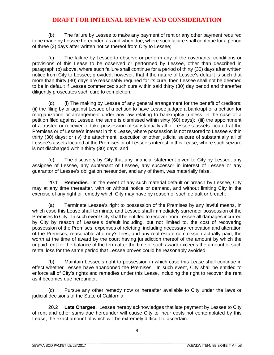(b) The failure by Lessee to make any payment of rent or any other payment required to be made by Lessee hereunder, as and when due, where such failure shall continue for a period of three (3) days after written notice thereof from City to Lessee;

(c) The failure by Lessee to observe or perform any of the covenants, conditions or provisions of this Lease to be observed or performed by Lessee, other than described in paragraph (b) above, where such failure shall continue for a period of thirty (30) days after written notice from City to Lessee; provided, however, that if the nature of Lessee's default is such that more than thirty (30) days are reasonably required for its cure, then Lessee shall not be deemed to be in default if Lessee commenced such cure within said thirty (30) day period and thereafter diligently prosecutes such cure to completion;

(d) (i) The making by Lessee of any general arrangement for the benefit of creditors; (ii) the filing by or against Lessee of a petition to have Lessee judged a bankrupt or a petition for reorganization or arrangement under any law relating to bankruptcy (unless, in the case of a petition filed against Lessee, the same is dismissed within sixty (60) days); (iii) the appointment of a trustee or receiver to take possession of substantially all of Lessee's assets located at the Premises or of Lessee's interest in this Lease, where possession is not restored to Lessee within thirty (30) days; or (iv) the attachment, execution or other judicial seizure of substantially all of Lessee's assets located at the Premises or of Lessee's interest in this Lease, where such seizure is not discharged within thirty (30) days; and

(e) The discovery by City that any financial statement given to City by Lessee, any assignee of Lessee, any subtenant of Lessee, any successor in interest of Lessee or any guarantor of Lessee's obligation hereunder, and any of them, was materially false.

20.1 **Remedies**. In the event of any such material default or breach by Lessee, City may at any time thereafter, with or without notice or demand, and without limiting City in the exercise of any right or remedy which City may have by reason of such default or breach:

(a) Terminate Lessee's right to possession of the Premises by any lawful means, in which case this Lease shall terminate and Lessee shall immediately surrender possession of the Premises to City. In such event City shall be entitled to recover from Lessee all damages incurred by City by reason of Lessee's default including, but not limited to, the cost of recovering possession of the Premises, expenses of reletting, including necessary renovation and alteration of the Premises, reasonable attorney's fees, and any real estate commission actually paid, the worth at the time of award by the court having jurisdiction thereof of the amount by which the unpaid rent for the balance of the term after the time of such award exceeds the amount of such rental loss for the same period that Lessee proves could be reasonably avoided.

(b) Maintain Lessee's right to possession in which case this Lease shall continue in effect whether Lessee have abandoned the Premises. In such event, City shall be entitled to enforce all of City's rights and remedies under this Lease, including the right to recover the rent as it becomes due hereunder.

(c) Pursue any other remedy now or hereafter available to City under the laws or judicial decisions of the State of California.

20.2 **Late Charges**. Lessee hereby acknowledges that late payment by Lessee to City of rent and other sums due hereunder will cause City to incur costs not contemplated by this Lease, the exact amount of which will be extremely difficult to ascertain.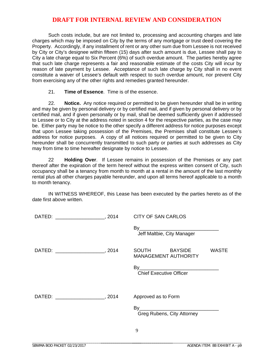Such costs include, but are not limited to, processing and accounting charges and late charges which may be imposed on City by the terms of any mortgage or trust deed covering the Property. Accordingly, if any installment of rent or any other sum due from Lessee is not received by City or City's designee within fifteen (15) days after such amount is due, Lessee shall pay to City a late charge equal to Six Percent (6%) of such overdue amount. The parties hereby agree that such late charge represents a fair and reasonable estimate of the costs City will incur by reason of late payment by Lessee. Acceptance of such late charge by City shall in no event constitute a waiver of Lessee's default with respect to such overdue amount, nor prevent City from exercising any of the other rights and remedies granted hereunder.

21. **Time of Essence**. Time is of the essence.

22. **Notice.** Any notice required or permitted to be given hereunder shall be in writing and may be given by personal delivery or by certified mail, and if given by personal delivery or by certified mail, and if given personally or by mail, shall be deemed sufficiently given if addressed to Lessee or to City at the address noted in section 4 for the respective parties, as the case may be. Either party may be notice to the other specify a different address for notice purposes except that upon Lessee taking possession of the Premises, the Premises shall constitute Lessee's address for notice purposes. A copy of all notices required or permitted to be given to City hereunder shall be concurrently transmitted to such party or parties at such addresses as City may from time to time hereafter designate by notice to Lessee.

22 **Holding Over**. If Lessee remains in possession of the Premises or any part thereof after the expiration of the term hereof without the express written consent of City, such occupancy shall be a tenancy from month to month at a rental in the amount of the last monthly rental plus all other charges payable hereunder, and upon all terms hereof applicable to a month to month tenancy.

IN WITNESS WHEREOF, this Lease has been executed by the parties hereto as of the date first above written.

|                                          | <b>CITY OF SAN CARLOS</b>                                                                      |  |  |  |  |
|------------------------------------------|------------------------------------------------------------------------------------------------|--|--|--|--|
|                                          | Jeff Maltbie, City Manager                                                                     |  |  |  |  |
|                                          | SOUTH BAYSIDE<br><b>WASTE</b><br><b>MANAGEMENT AUTHORITY</b><br><b>Chief Executive Officer</b> |  |  |  |  |
|                                          |                                                                                                |  |  |  |  |
| DATED: ___________________________, 2014 | Approved as to Form                                                                            |  |  |  |  |
|                                          | Greg Rubens, City Attorney                                                                     |  |  |  |  |

\_\_\_\_\_\_\_\_\_\_\_\_\_\_\_\_\_\_\_\_\_\_\_\_\_\_\_\_\_\_\_\_\_\_\_\_\_ \_\_\_\_\_\_\_\_\_\_\_\_\_\_\_\_\_\_\_\_\_\_\_\_\_\_\_\_\_\_\_\_\_\_\_\_\_\_\_\_\_\_\_\_\_\_\_\_\_\_\_\_\_\_\_\_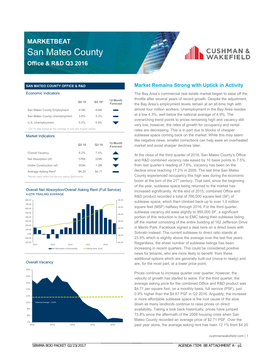

#### **SAN MATEO COUNTY OFFICE & R&D**

#### Economic Indicators

|                                                             | Q <sub>3</sub> 15 | Q3 16* | 12-Month<br>Forecast |  |  |  |  |  |  |
|-------------------------------------------------------------|-------------------|--------|----------------------|--|--|--|--|--|--|
| San Mateo County Employment                                 | 419K              | 439K   |                      |  |  |  |  |  |  |
| San Mateo County Unemployment                               | 3.8%              | 3.3%   |                      |  |  |  |  |  |  |
| U.S. Unemployment                                           | 5.2%              | 4.9%   |                      |  |  |  |  |  |  |
| *Q3 16 data based on the average of July and August values. |                   |        |                      |  |  |  |  |  |  |
|                                                             |                   |        |                      |  |  |  |  |  |  |

#### Market Indicators

|                                                       | Q <sub>3</sub> 15 | Q3 16  | 12-Month<br>Forecast |
|-------------------------------------------------------|-------------------|--------|----------------------|
| Overall Vacancy                                       | 8.2%              | 7.5%   |                      |
| Net Absorption (sf)                                   | 576K              | 229K   |                      |
| Under Construction (sf)                               | 553K              | 1.2M   |                      |
| Average Asking Rent*                                  | \$4.20            | \$4.71 |                      |
| *Rental rates reflect full service asking \$psf/month |                   |        |                      |

#### Overall Net Absorption/Overall Asking Rent (Full Service) 4-QTR TRAILING AVERAGE



#### Overall Vacancy



\_\_\_\_\_\_\_\_\_\_\_\_\_\_\_\_\_\_\_\_\_\_\_\_\_\_\_\_\_\_\_\_\_\_\_\_\_\_\_\_\_\_\_\_\_\_\_\_\_\_\_\_\_\_\_\_

#### **Market Remains Strong with Uptick in Activity**

The Bay Area's commercial real estate market began to ease off the throttle after several years of record growth. Despite the adjustment, the Bay Area's employment levels remain at an all-time high with almost four million workers. Unemployment in the Bay Area resides at a low 4.3%, well below the national average of 4.9%. The overarching trend points to prices remaining high and vacancy still very low, however, the rates of growth for occupancy and rental rates are decreasing. This is in part due to blocks of cheaper sublease space coming back on the market. While this may seem like negative news, smaller corrections can help ease an overheated market and avoid sharper declines later.

At the close of the third quarter of 2016, San Mateo County's Office and R&D combined vacancy rate eased by 10 basis points to 7.5%, from last quarter's reading of 7.6%. Vacancy has been on the decline since reaching 17.2% in 2009. The last time San Mateo County experienced occupancy this high was during the economic boom at the turn of the  $21<sup>st</sup>$  century. That said, since the beginning of the year, sublease space being returned to the market has increased significantly. At the end of 2015, combined Office and R&D product recorded a total of 766,000 square feet (SF) of sublease space, which then climbed back up to over 1.0 million square feet (MSF) halfway through 2016. For the third quarter, sublease vacancy did ease slightly to 955,000 SF, a significant portion of this reduction is due to EMC taking their sublease listing off the market consisting of the entire building at 162 Jefferson Drive in Menlo Park. Facebook signed a deal here on a direct basis with Sobrato instead. The current sublease to direct ratio stands at 23.9% which is slightly above the average over the last five years. Regardless, the sheer number of sublease listings has been increasing in recent quarters. This could be considered positive news for tenants, who are more likely to benefit from these additional options which are generally built-out (move-in ready) and are, for the most part, at a lower price point.

Prices continue to increase quarter over quarter, however, the velocity of growth has started to wane. For the third quarter, the average asking price for the combined Office and R&D product was \$4.71 per square foot, on a monthly basis, full service (PSF), just 0.9% higher than the \$4.67 PSF in Q2 2016. Arguably, the increase in more affordable sublease space is the root cause of the slow down as many landlords continue to raise prices on direct availability. Taking a look back historically, prices have jumped 73.8% since the aftermath of the 2008 housing crisis when San Mateo County recorded an average price of \$2.71 PSF. Over the past year alone, the average asking rent has risen 12.1% from \$4.20

\_\_\_\_\_\_\_\_\_\_\_\_\_\_\_\_\_\_\_\_\_\_\_\_\_\_\_\_\_\_\_\_\_\_\_\_\_ \_\_\_\_\_\_\_\_\_\_\_\_\_\_\_\_\_\_\_\_\_\_\_\_\_\_\_\_\_\_\_\_\_\_\_\_\_\_\_\_\_\_\_\_\_\_\_\_\_\_\_\_\_\_\_\_

cushmanwakefield.com | 1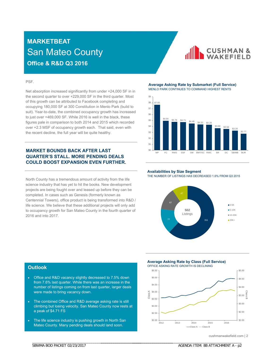**CUSHMAN & WAKFFIFID** 

#### PSF.

Net absorption increased significantly from under +24,000 SF in in the second quarter to over +229,000 SF in the third quarter. Most of this growth can be attributed to Facebook completing and occupying 180,000 SF at 300 Constitution in Menlo Park (build to suit). Year-to-date, the combined occupancy growth has increased to just over +469,000 SF. While 2016 is well in the black, these figures pale in comparison to both 2014 and 2015 which recorded over +2.3 MSF of occupancy growth each. That said, even with the recent decline, the full year will be quite healthy.

#### **MARKET BOUNDS BACK AFTER LAST QUARTER'S STALL. MORE PENDING DEALS COULD BOOST EXPANSION EVEN FURTHER.**

North County has a tremendous amount of activity from the life science industry that has yet to hit the books. New development projects are being fought over and leased up before they can be completed. In cases such as Genesis (formerly known as Centennial Towers), office product is being transformed into R&D / life science. We believe that these additional projects will only add to occupancy growth for San Mateo County in the fourth quarter of 2016 and into 2017.

#### **Average Asking Rate by Submarket (Full Service)** MENLO PARK CONTINUES TO COMMAND HIGHEST RENTS



#### **Availabilities by Size Segment**

THE NUMBER OF LISTINGS HAS DECREASED 1.6% FROM Q3 2015



#### **Outlook**

- Office and R&D vacancy slightly decreased to 7.5% down from 7.6% last quarter. While there was an increase in the number of listings coming on from last quarter, larger deals were made to bring vacancy down.
- The combined Office and R&D average asking rate is still climbing but losing velocity. San Mateo County now rests at a peak of \$4.71 FS
- The life science industry is pushing growth in North San Mateo County. Many pending deals should land soon.

\_\_\_\_\_\_\_\_\_\_\_\_\_\_\_\_\_\_\_\_\_\_\_\_\_\_\_\_\_\_\_\_\_\_\_\_\_\_\_\_\_\_\_\_\_\_\_\_\_\_\_\_\_\_\_\_

**Average Asking Rate by Class (Full Service)** OFFICE ASKING RATE GROWTH IS DECLINING

\_\_\_\_\_\_\_\_\_\_\_\_\_\_\_\_\_\_\_\_\_\_\_\_\_\_\_\_\_\_\_\_\_\_\_\_\_ \_\_\_\_\_\_\_\_\_\_\_\_\_\_\_\_\_\_\_\_\_\_\_\_\_\_\_\_\_\_\_\_\_\_\_\_\_\_\_\_\_\_\_\_\_\_\_\_\_\_\_\_\_\_\_\_



cushmanwakefield.com | 2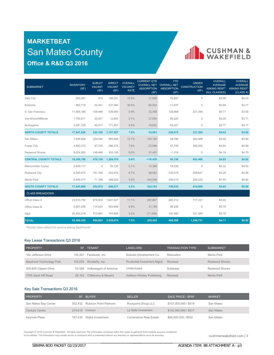

| <b>SUBMARKET</b>             | <b>INVENTORY</b><br>(SF) | <b>SUBLET</b><br><b>VACANT</b><br>(SF) | <b>DIRECT</b><br><b>VACANT</b><br>(SF) | <b>OVERALL</b><br><b>VACANCY</b><br><b>RATE</b> | <b>CURRENT QTR</b><br><b>OVERALL NET</b><br><b>ABSORPTION</b><br>(SF) | <b>YTD</b><br><b>OVERALL NET</b><br><b>ABSORPTION</b><br>(SF) | <b>UNDER</b><br><b>CONSTRUCTION</b><br>(SF) | <b>OVERALL</b><br><b>AVERAGE</b><br><b>ASKING RENT*</b><br>(ALL CLASSES) | <b>OVERALL</b><br><b>AVERAGE</b><br><b>ASKING RENT*</b><br>(CLASS A) |
|------------------------------|--------------------------|----------------------------------------|----------------------------------------|-------------------------------------------------|-----------------------------------------------------------------------|---------------------------------------------------------------|---------------------------------------------|--------------------------------------------------------------------------|----------------------------------------------------------------------|
| Daly City                    | 933,281                  | 810                                    | 146,241                                | 15.8%                                           | 21,909                                                                | 76,847                                                        | 0                                           | \$3.56                                                                   | \$4.03                                                               |
| <b>Brisbane</b>              | 962,719                  | 52,001                                 | 237,084                                | 30.0%                                           | $-60,542$                                                             | $-11,637$                                                     | $\Omega$                                    | \$3.69                                                                   | \$3.77                                                               |
| S. San Francisco             | 11,564,186               | 109,486                                | 539,900                                | 5.6%                                            | 52,488                                                                | 128,868                                                       | 231,394                                     | \$4.71                                                                   | \$3.50                                                               |
| San Bruno/Millbrae           | 1,705,911                | 22,427                                 | 12,805                                 | 2.1%                                            | 27,850                                                                | 89,224                                                        | 0                                           | \$3.28                                                                   | \$3.71                                                               |
| Burlingame                   | 2,381,729                | 40,471                                 | 171,557                                | 8.9%                                            | $-18,622$                                                             | $-55,227$                                                     | 0                                           | \$2.77                                                                   | \$3.17                                                               |
| <b>NORTH COUNTY TOTALS</b>   | 17,547,826               | 225,195                                | 1,107,587                              | 7.6%                                            | 23,083                                                                | 228,075                                                       | 231,394                                     | \$4.02                                                                   | \$3.62                                                               |
| San Mateo                    | 7,448,926                | 239,545                                | 665,089                                | 12.1%                                           | $-145,189$                                                            | 28,768                                                        | 302,468                                     | \$4.48                                                                   | \$4.99                                                               |
| <b>Foster City</b>           | 4,893,312                | 87,725                                 | 286,375                                | 7.6%                                            | $-22,688$                                                             | 57,709                                                        | 300,000                                     | \$4.94                                                                   | \$4.99                                                               |
| Redwood Shores               | 6,024,550                | 149,466                                | 333,106                                | 8.0%                                            | 51,457                                                                | $-1,319$                                                      | $\circ$                                     | \$4.76                                                                   | \$4.79                                                               |
| <b>CENTRAL COUNTY TOTALS</b> | 18,366,788               | 476,736                                | 1,284,570                              | 9.6%                                            | $-116,420$                                                            | 85,158                                                        | 602,468                                     | \$4.65                                                                   | \$4.92                                                               |
| Belmont/San Carlos           | 2,649,117                | $\mathbf{0}$                           | 55,120                                 | 2.1%                                            | $-14,366$                                                             | 79,539                                                        | $\circ$                                     | \$4.32                                                                   | \$4.50                                                               |
| Redwood City                 | 6,350,672                | 181,106                                | 242,675                                | 6.7%                                            | 96,582                                                                | $-132,019$                                                    | 209,647                                     | \$4.28                                                                   | \$4.26                                                               |
| Menlo Park                   | 8.446.017                | 71,766                                 | 348.522                                | 5.0%                                            | 240.546                                                               | 208,515                                                       | 205,222                                     | \$7.65                                                                   | \$9.84                                                               |
| <b>SOUTH COUNTY TOTALS</b>   | 17,445,806               | 252,872                                | 646,317                                | 5.2%                                            | 322,762                                                               | 156,035                                                       | 414,869                                     | \$5.85                                                                   | \$6.59                                                               |
| <b>CLASS BREAKDOWN</b>       |                          |                                        |                                        |                                                 |                                                                       |                                                               |                                             |                                                                          |                                                                      |
| Office Class A               | 23,610,750               | 679,503                                | 1,941,627                              | 11.1%                                           | 287,867                                                               | 265,212                                                       | 717,337                                     | \$4.92                                                                   |                                                                      |
| Office Class B               | 5,907,246                | 114,624                                | 403,848                                | 8.8%                                            | 31,169                                                                | 56,226                                                        | 0                                           | \$3.78                                                                   |                                                                      |
| R&D                          | 20,402,218               | 512,881                                | 143,669                                | 3.2%                                            | (71, 429)                                                             | 152,360                                                       | 531,394                                     | \$3.75                                                                   |                                                                      |
| <b>TOTAL</b>                 | 53,360,420               | 954,803                                | 3,038,474                              | 7.5%                                            | 229,425                                                               | 469,268                                                       | 1,248,731                                   | \$4.71                                                                   | \$4.92                                                               |

\*Rental rates reflect full service asking \$psf/month

#### Key Lease Transactions Q3 2016

| <b>PROPERTY</b>          |         | <b>TENANT</b>         | <b>LANDLORD</b>             | <b>TRANSACTION TYPE</b> | <b>SUBMARKET</b>      |
|--------------------------|---------|-----------------------|-----------------------------|-------------------------|-----------------------|
| 162 Jefferson Drive      | 135.307 | Facebook, Inc.        | Sobrato Development Co.     | Relocation              | Menlo Park            |
| Bayshore Technology Park | 100.676 | Shutterfly, Inc.      | Prudential Investment Mgmt. | Renewal                 | <b>Redwood Shores</b> |
| 500-600 Clipper Drive    | 53.508  | Volkswagon of America | Undisclosed                 | Sublease                | <b>Redwood Shores</b> |
| 2765 Sand Hill Road      | 28.162  | O'Melveny & Meyers    | Addison Wesley Publishing   | Renewal                 | Menlo Park            |

#### Key Sale Transactions Q3 2016

| <b>PROPERTY</b>       | SF              | <b>BUYER</b>                   | <b>SELLER</b>           | SALE PRICE / SPSF     | <b>MARKET</b> |
|-----------------------|-----------------|--------------------------------|-------------------------|-----------------------|---------------|
| San Mateo Bay Center  |                 | 302,432 Rubicon Point Partners | Rockpoint Group LLC     | \$157,000,000 / \$519 | San Mateo     |
| <b>Century Centre</b> | 274,619 Invesco |                                | La Salle Investment     | \$142,000,000 / \$517 | San Mateo     |
| Keynote Plaza         |                 | 187,435 Wafra Investment       | Cornerstone Real Estate | \$94,000,000 / \$502  | San Mateo     |

Copyright © 2016 Cushman & Wakefield. All rights reserved. The information contained within this report is gathered from multiple sources considered<br>to be reliable. The information may contain errors or omissions and is p

\_\_\_\_\_\_\_\_\_\_\_\_\_\_\_\_\_\_\_\_\_\_\_\_\_\_\_\_\_\_\_\_\_\_\_\_\_\_\_\_\_\_\_\_\_\_\_\_\_\_\_\_\_\_\_\_

cushmanwakefield.com | 3

\_\_\_\_\_\_\_\_\_\_\_\_\_\_\_\_\_\_\_\_\_\_\_\_\_\_\_\_\_\_\_\_\_\_\_\_\_ \_\_\_\_\_\_\_\_\_\_\_\_\_\_\_\_\_\_\_\_\_\_\_\_\_\_\_\_\_\_\_\_\_\_\_\_\_\_\_\_\_\_\_\_\_\_\_\_\_\_\_\_\_\_\_\_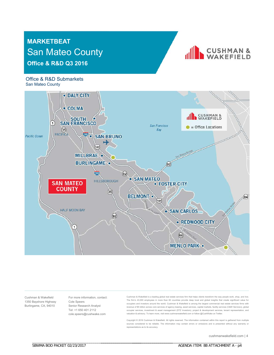

#### Office & R&D Submarkets San Mateo County



Cushman & Wakefield 1350 Bayshore Highway Burlingame, CA, 94010

For more information, contact: Cole Speers Senior Research Analyst Tel: +1 650 401 2112 cole.speers@cushwake.com

\_\_\_\_\_\_\_\_\_\_\_\_\_\_\_\_\_\_\_\_\_\_\_\_\_\_\_\_\_\_\_\_\_\_\_\_\_\_\_\_\_\_\_\_\_\_\_\_\_\_\_\_\_\_\_\_

Cushman & Wakefield is a leading global real estate services firm that helps clients transform the way people work, shop, and live. The firm's 43,000 employees in more than 60 countries provide deep local and global insights that create significant value for occupiers and investors around the world. Cushman & Wakefield is among the largest commercial real estate services firms with revenue of \$5 billion across core services of agency leasing, asset services, capital markets, facility services (C&W Services), global occupier services, investment & asset management (DTZ Investors), project & development services, tenant representation, and valuation & advisory. To learn more, visit www.cushmanwakefield.com or follow @CushWake on Twitter.

Copyright © 2016 Cushman & Wakefield. All rights reserved. The information contained within this report is gathered from multiple sources considered to be reliable. The information may contain errors or omissions and is presented without any warranty or representations as to its accuracy.

\_\_\_\_\_\_\_\_\_\_\_\_\_\_\_\_\_\_\_\_\_\_\_\_\_\_\_\_\_\_\_\_\_\_\_\_\_ \_\_\_\_\_\_\_\_\_\_\_\_\_\_\_\_\_\_\_\_\_\_\_\_\_\_\_\_\_\_\_\_\_\_\_\_\_\_\_\_\_\_\_\_\_\_\_\_\_\_\_\_\_\_\_\_

cushmanwakefield.com | 4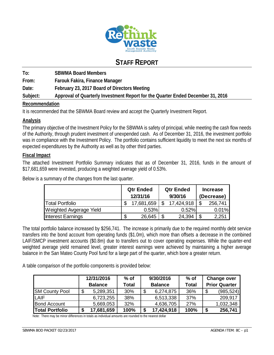

# **STAFF REPORT**

**To: SBWMA Board Members From: Farouk Fakira, Finance Manager Date: February 23, 2017 Board of Directors Meeting Subject: Approval of Quarterly Investment Report for the Quarter Ended December 31, 2016** 

#### **Recommendation**

It is recommended that the SBWMA Board review and accept the Quarterly Investment Report.

#### **Analysis**

The primary objective of the Investment Policy for the SBWMA is safety of principal, while meeting the cash flow needs of the Authority, through prudent investment of unexpended cash. As of December 31, 2016, the investment portfolio was in compliance with the Investment Policy. The portfolio contains sufficient liquidity to meet the next six months of expected expenditures by the Authority as well as by other third parties.

#### **Fiscal Impact**

The attached Investment Portfolio Summary indicates that as of December 31, 2016, funds in the amount of \$17,681,659 were invested, producing a weighted average yield of 0.53%.

Below is a summary of the changes from the last quarter.

|                         | <b>Qtr Ended</b><br>12/31/16 | <b>Qtr Ended</b><br>9/30/16 | <b>Increase</b><br>(Decrease) |         |  |
|-------------------------|------------------------------|-----------------------------|-------------------------------|---------|--|
| <b>Total Portfolio</b>  | 17,681,659                   | 17,424,918                  |                               | 256,741 |  |
| Weighted Avgerage Yield | 0.53%                        | 0.52%                       |                               | 0.01%   |  |
| Interest Earnings       | 26,645                       | 24,394                      |                               | 2,251   |  |

The total portfolio balance increased by \$256,741. The increase is primarily due to the required monthly debt service transfers into the bond account from operating funds (\$1.0m), which more than offsets a decrease in the combined LAIF/SMCP investment accounts (\$0.8m) due to transfers out to cover operating expenses. While the quarter-end weighted average yield remained level, greater interest earnings were achieved by maintaining a higher average balance in the San Mateo County Pool fund for a large part of the quarter, which bore a greater return.

A table comparison of the portfolio components is provided below:

|                        | 12/31/2016<br><b>Balance</b> |            | $%$ of<br>Total | 9/30/2016<br><b>Balance</b> |            | $%$ of<br>Total | <b>Change over</b><br><b>Prior Quarter</b> |            |
|------------------------|------------------------------|------------|-----------------|-----------------------------|------------|-----------------|--------------------------------------------|------------|
| <b>SM County Pool</b>  | Œ                            | 5,289,351  | 30%             | \$                          | 6,274,875  | 36%             | \$                                         | (985, 524) |
| <b>LAIF</b>            |                              | 6,723,255  | 38%             |                             | 6,513,338  | 37%             |                                            | 209,917    |
| <b>Bond Account</b>    |                              | 5,669,053  | 32%             |                             | 4,636,705  | <b>27%</b>      |                                            | 1,032,348  |
| <b>Total Portfolio</b> |                              | 17,681,659 | 100%            | \$                          | 17,424,918 | 100%            | \$                                         | 256,741    |

Note: There may be minor differences in totals as individual amounts are rounded to the nearest dollar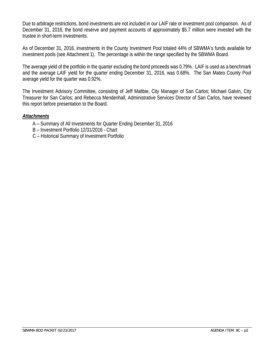Due to arbitrage restrictions, bond investments are not included in our LAIF rate or investment pool comparison. As of December 31, 2016, the bond reserve and payment accounts of approximately \$5.7 million were invested with the trustee in short-term investments.

As of December 31, 2016, investments in the County Investment Pool totaled 44% of SBWMA's funds available for investment pools (see Attachment 1). The percentage is within the range specified by the SBWMA Board.

The average yield of the portfolio in the quarter excluding the bond proceeds was 0.79%. LAIF is used as a benchmark and the average LAIF yield for the quarter ending December 31, 2016, was 0.68%. The San Mateo County Pool average yield for the quarter was 0.92%.

The Investment Advisory Committee, consisting of Jeff Maltbie, City Manager of San Carlos; Michael Galvin, City Treasurer for San Carlos; and Rebecca Mendenhall, Administrative Services Director of San Carlos, have reviewed this report before presentation to the Board.

#### *Attachments*

- A Summary of All Investments for Quarter Ending December 31, 2016
- B Investment Portfolio 12/31/2016 Chart
- C Historical Summary of Investment Portfolio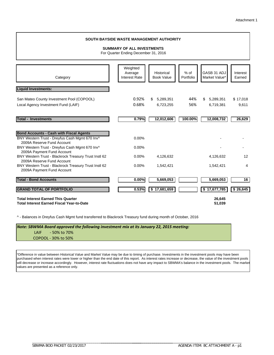#### Category Weighted Average Interest Rate Historical Book Value % of Portfolio GASB 31 ADJ Market Value\* Interest Earned **Liquid Investments:** San Mateo County Investment Pool (COPOOL) 0.92% \$ 5,289,351 44% \$ 5,289,351 \$ 17,018 Local Agency Investment Fund (LAIF) 0.68% 6,723,255 56% 6,719,381 9,611 **Total - Investments 0.79% 12,012,606 100.00% 26,629 12,008,732 Bond Accounts - Cash with Fiscal Agents** BNY Western Trust - Dreyfus Cash Mgmt 670 Inv^ 0.00% 2009A Reserve Fund Account BNY Western Trust - Dreyfus Cash Mgmt 670 Inv^ 0.00% 2009A Payment Fund Account BNY Western Trust - Blackrock Treasury Trust Instl 62 0.00% 4,126,632 4,126,632 12 2009A Reserve Fund Account BNY Western Trust - Blackrock Treasury Trust Instl 62 0.00% 1,542,421 1,542,421 1,542,421 4 2009A Payment Fund Account **Total - Bond Accounts 0.00% 5,669,053 5,669,053 16 GRAND TOTAL OF PORTFOLIO 0.53% \$ 17,681,659 \$ 17,677,785 \$ 26,645 Total Interest Earned This Quarter 26,645 Total Interest Earned Fiscal Year-to-Date 51,039 SOUTH BAYSIDE WASTE MANAGEMENT AUTHORITY SUMMARY OF ALL INVESTMENTS** For Quarter Ending December 31, 2016

^ - Balances in Dreyfus Cash Mgmt fund transferred to Blackrock Treasury fund during month of October, 2016

*Note: SBWMA Board approved the following investment mix at its January 22, 2015 meeting:* LAIF ‐ 50% to 70% COPOOL ‐ 30% to 50%

\*Difference in value between Historical Value and Market Value may be due to timing of purchase. Investments in the investment pools may have been purchased when interest rates were lower or higher than the end date of this report. As interest rates increase or decrease, the value of the investment pools will decrease or increase accordingly. However, interest rate fluctuations does not have any impact to SBWMA's balance in the investment pools. The market values are presented as a reference only.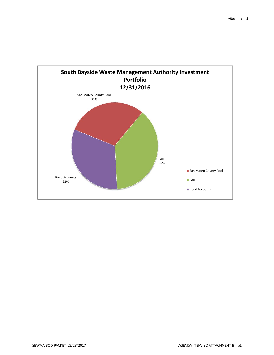